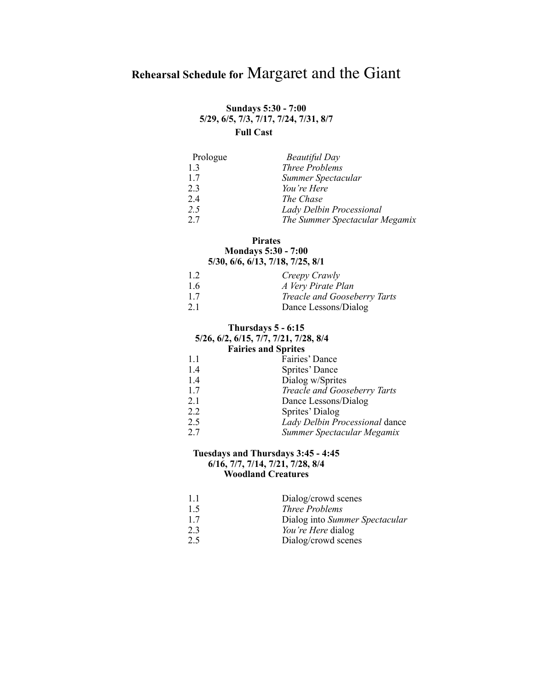# **Rehearsal Schedule for** Margaret and the Giant

## **Sundays 5:30 - 7:00 5/29, 6/5, 7/3, 7/17, 7/24, 7/31, 8/7 Full Cast**

| Prologue | <b>Beautiful Day</b>           |
|----------|--------------------------------|
| 1.3      | <b>Three Problems</b>          |
| 17       | Summer Spectacular             |
| 23       | You're Here                    |
| 24       | The Chase                      |
| 2.5      | Lady Delbin Processional       |
| 27       | The Summer Spectacular Megamix |

#### **Pirates Mondays 5:30 - 7:00**

# **5/30, 6/6, 6/13, 7/18, 7/25, 8/1**

| 12 | Creepy Crawly                |
|----|------------------------------|
| 16 | A Very Pirate Plan           |
| 17 | Treacle and Gooseberry Tarts |
| 21 | Dance Lessons/Dialog         |

# **Thursdays 5 - 6:15**

#### **5/26, 6/2, 6/15, 7/7, 7/21, 7/28, 8/4 Fairies and Sprites**

| ган не ани эргисэ |                                |  |
|-------------------|--------------------------------|--|
| 1.1               | Fairies' Dance                 |  |
| 1.4               | Sprites' Dance                 |  |
| 1.4               | Dialog w/Sprites               |  |
| 1.7               | Treacle and Gooseberry Tarts   |  |
| 2.1               | Dance Lessons/Dialog           |  |
| 2.2               | Sprites' Dialog                |  |
| 2.5               | Lady Delbin Processional dance |  |
| 2.7               | Summer Spectacular Megamix     |  |
|                   |                                |  |

# **Tuesdays and Thursdays 3:45 - 4:45**

## **6/16, 7/7, 7/14, 7/21, 7/28, 8/4 Woodland Creatures**

| 11  | Dialog/crowd scenes            |
|-----|--------------------------------|
| 1.5 | Three Problems                 |
| 17  | Dialog into Summer Spectacular |
| 23  | You're Here dialog             |
| 2.5 | Dialog/crowd scenes            |